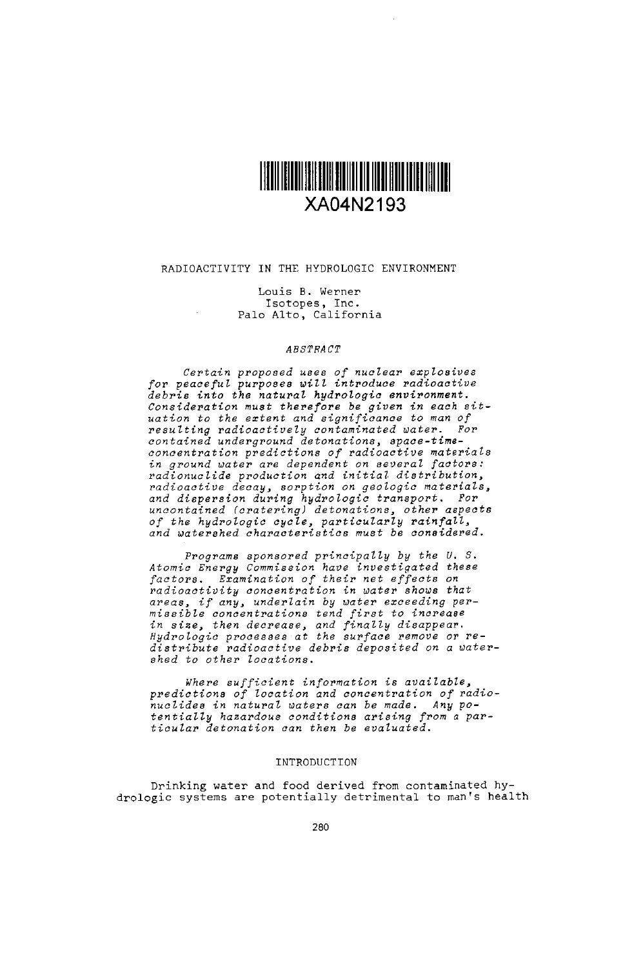

# RADIOACTIVITY IN THE HYDROLOGIC ENVIRONMENT

Louis B. Werne<br>Isotopes, Inc.<br>Palo Alto, Califo

### *ABSTRACT*

*Certain proposed uses of nuclear explosives for peaceful purposes will introduce radioactive debi* .into the natural *hydrologic environment. Consideration must therefore be given in each sit-*uation *to the extent and significance to man of resulting radioactively contaminated water. For* contained *underground detonations, space-time concentration predictions of radioactive materials in ground water are dependent on several factors: radionuclide production* and initial *distribution, radioactive decay, sorption on geologic materials, and dispersion during hydrologic transport. For un0ontained (cratering) detonations, other aspects of the hydrologic cycle,* particularly rainfall, *and watershed characteristics must be considered.*

*Programs sponsored principally by the U. S.* Atomic Energy Commission have investigated these *factors. Examination of their net effects on radi 0activity concentration in water shows that areas if* any, underlain *by water exceeding per-Missike concentrations tend first to increase* in size, *then decrease, and* finally *disappear. Rydrologic processes* at the *surface remove or redistribute radioactive debris deposited* on a *water*shed *to other locations.*

*Where sufficient information is available,* predictions of location and concentration of radionucZides in natural *waters can be made. Any po*tentialZy *hazardous condit ions arising from a particular detonation can* then *be evaluated.*

# INTRODUCTION

Drinking water and food derived from contaminated hydrologic systems are potentially detrimental to man's health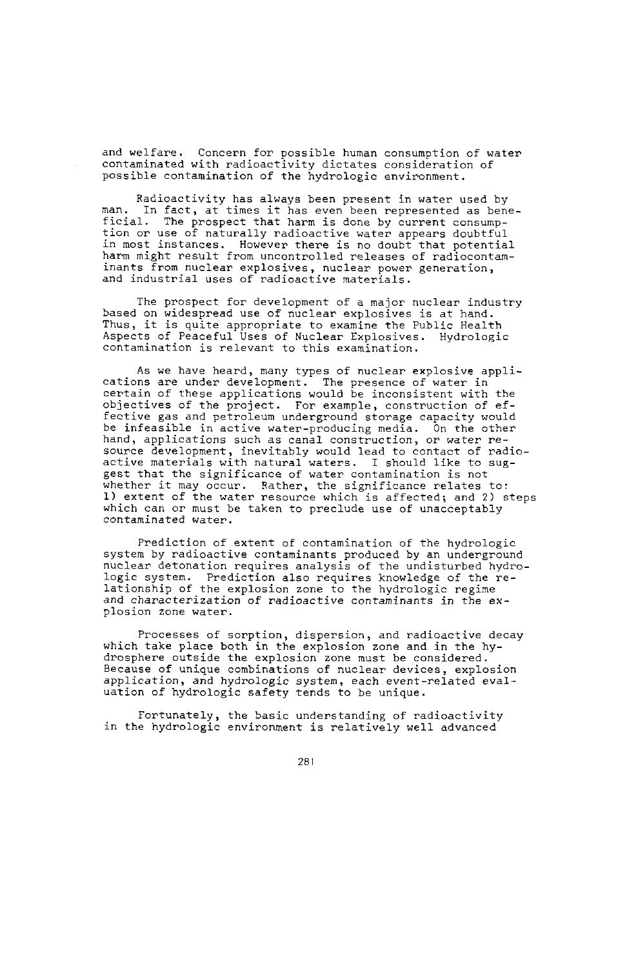and welfare. Concern for possible human consumption of water contaminated with radioactivity dictates consideration of possible contamination of the hydrologic environment.

Radioactivity has always been present in water used by man. In fact, at times it has even been represented as beneficial. The prospect that harm is done by current consumption or use of naturally radioactive water appears doubtful in most instances. However there is no doubt that potential harm might result from uncontrolled releases of radiocontaminants from nuclear explosives, nuclear power generation, and industrial uses of radioactive materials.

The prospect for development of a major nuclear industry based on widespread use of nuclear explosives is at hand. Thus, it is quite appropriate to examine the Public Health Aspects of Peaceful Uses of Nuclear Explosives. Hydrologic contamination is relevant to this examination.

As we have heard, many types of nuclear explosive applications are under development. The presence of water in certain of these applications would be inconsistent with the objectives of the project. For example, construction of effective gas and petroleum underground storage capacity would be infeasible in active water-producing media. On the other hand, applications such as canal construction, or water re-source development, inevitably would lead to cntact of radio-active materials with natural waters. I should like to suggest that the significance of water contamination is not whether it may occur. Rather, the significance relates to:<br>1) extent of the water resource which is affected; and 2) steps which can or must be taken to preclude use of unacceptably contaminated water.

Prediction of extent of contamination of the hydrologic system by radioactive contaminants produced by an underground nuclear detonation requires analysis of the undisturbed hydrologic system. Prediction also requires knowledge of the relationship of the explosion zone to the hydrologic regime and characterization of radioactive contaminants in the explosion zone water.

Processes of sorption, dispersion, and radioactive decay which take place both in the explosion zone and in the hydrosphere outside the explosion zone must be considered. Because of unique combinations of nuclear devices, explosion application, and hydrologic system, each event-related evaluation of hydrologic safety tends to be unique.

Fortunately, the basic understanding of radioactivity in the hydrologic environment is relatively well advanced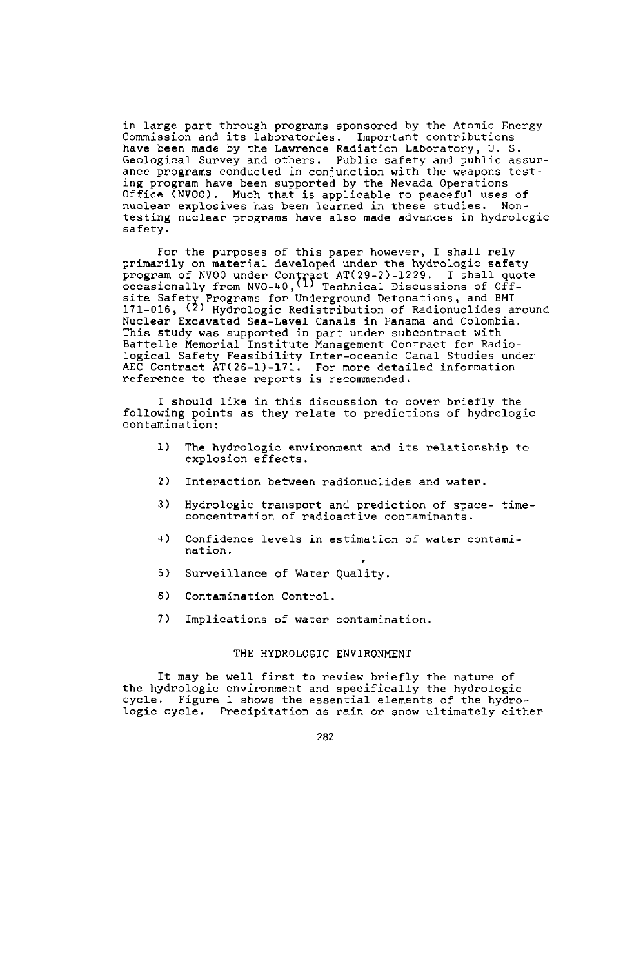in large part through programs sponsored by the Atomic Energy Commission and its laboratories. Important contributions have been made by the Lawrence Radiation Laboratory, U.S.<br>Geological Survey and others. Public safety and public assurance programs conducted in conjunction with the weapons testing program have been supported by the Nevada Operations Office (NVOO). Much that is applicable to peaceful uses of nuclear explosives has been learned in these studies. Nontesting nuclear programs have also made advances in hydrologic safety.

For the purposes of this paper however, I shall rely primarily on material developed under the hydrologic safety program of NV00 under Contract AT(29-2)-1229. I shall quote<br>occasionally from NV0-40, (1) Technical Discussions of Off-<br>site Safety Programs for Underground Detonations, and BMI<br>171-016, (2) Hydrologic Redistribution of Ra Nuclear Excavated Sea-Level Canals in Panama and Colombia. This study was supported in part under subcontract with Battelle Memorial Institute Management Contract for Radiological Safety Feasibility Inter-oceanic Canal Studies under AEC Contract AT(26-1)-171. For more detailed information reference to these reports is recommended.

I should like in this discussion to cover briefly the following points as they relate to predictions of hydrologic contamination:

- 1) The hydrologic environment and its relationship to explosion effects.
- 2) Interaction between radionuclides and water.
- 3) Hydrologic transport and prediction of space- timeconcentration of radioactive contaminants.
- 4) Confidence levels in estimation of water contamination.
- 5) Surveillance of Water Quality.
- 6) Contamination Control.
- 7) Implications of water contamination.

### THE HYDROLOGIC ENVIRONMENT

It may be well first to review briefly the nature of the hydrologic environment and specifically the hydrologic cycle. Figure 1 shows the essential elements of the hydrologic cycle. Precipitation as rain or snow ultimately either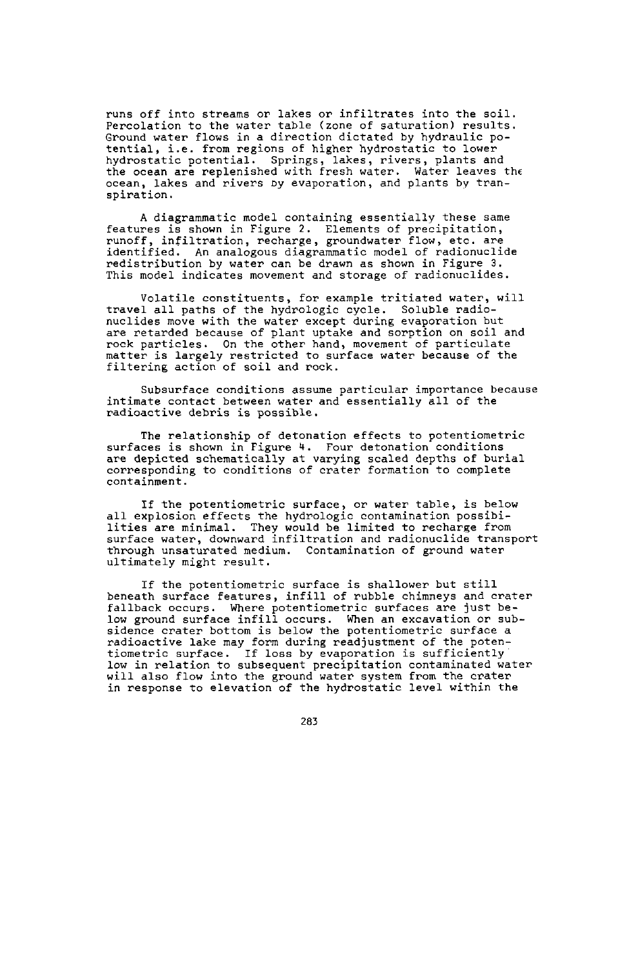runs off into streams or lakes or infiltrates into the soil. Percolation to the water table (zone of saturation) results. Ground water flows in a direction dictated by hydraulic potential, i.e. from regions of higher hydrostatic to lower hydrostatic potential. Springs, lakes, rivers, plants and the ocean are replenished with fresh water. Water leaves the ocean, lakes and rivers Dy evaporation, and plants by transpiration.

A diagrammatic model containing essentially these same features is shown in Figure 2. Elements of precipitation, runoff, infiltration, recharge, groundwater flow, etc. are identified' An analogous diagrammatic model of radionuclide redistribution by water can be drawn as shown in Figure 3. This model indicates movement and storage of radionuclides.

Volatile constituents, for example tritiated water, will travel all paths of the hydrologic cycle. Soluble radioare retarded because of plant uptake and sorption on soil and rock particles. On the other hand, movement of particulate matter is largely restricted to surface water because of the filtering action of soil and rock.

Subsurface conditions assume particular importance because intimate contact between water and essentially all of the radioactive debris is possible.

The relationship of detonation effects to potentiometric surfaces is shown in Figure 4. Four detonation conditions<br>are depicted schematically at varying scaled depths of burial<br>corresponding to conditions of crater formation to complete containment.

If the potentiometric surface, or water table, is below all explosion effects the hydrologic contamination possibilities are minimal. They would be limited to recharge from surface water, downward infiltration and radionuclide transport through unsaturated medium. Contamination of ground water ultimately might result.

If the potentiometric surface is shallower but still beneath surface features, infill of rubble chimneys and crater fallback occurs. Where potentiometric surfaces are just below ground surface infill occurs. When an excavation or sub-sidence crater bottom is below the potentiometric surface a radioactive lake may form during readjustment of the poten-tiometric surface. If loss by evaporation is sufficiently low in relation to subsequent precipitation contaminated water will also flow into the ground water system from the cater in response to elevation of the hydrostatic level within the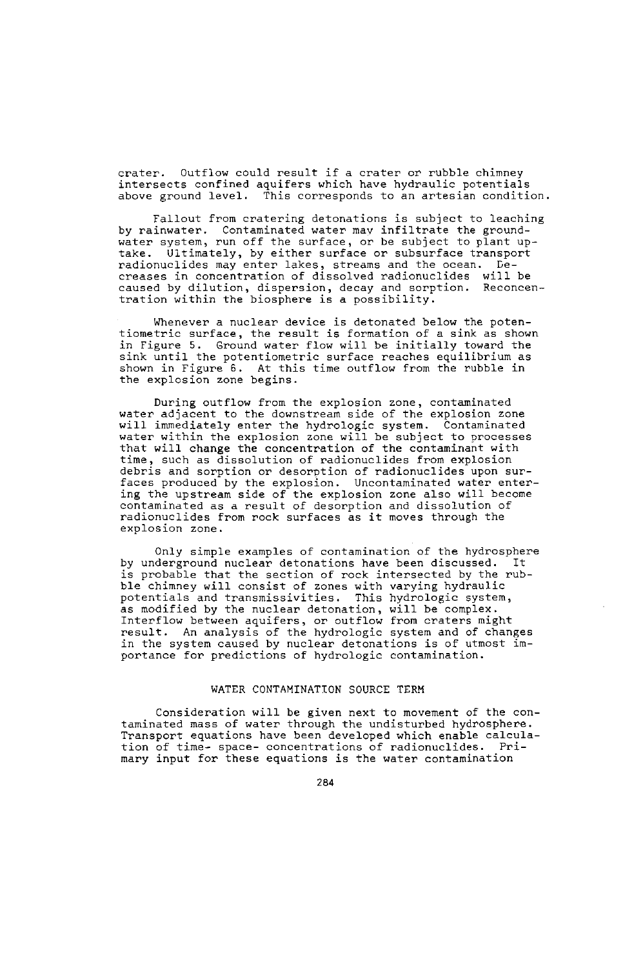crater. Outflow could result if a crater or rubble chimney intersects confined aquifers which have hydraulic potentials above ground level. This corresponds to an artesian condition.

Fallout from cratering detonations is subject to leaching by rainwater. Contaminated water mav infiltrate the groundwater system, run off the surface, or be subject to plant uptake. Ultimately, by either surface or subsurface transport ence of such a final property of the set of such a continuation of dissolved radionuclides may enter lakes, streams and the ocean. De-<br>creases in concentration of dissolved radionuclides will be<br>caused by dilution, dispers

Whenever a nuclear device is detonated below the potentiometric surface, the result is formation of a sink as shown in Figure 5. Ground water flow will be initially toward the sink until the potentiometric surface reaches equilibrium as shown in Figure 6. At this time outflow from the rubble in the explosion zone begins.

During outflow from the explosion zone, contaminated water adjacent to the downstream side of the explosion zone will immediately enter the hydrologic system. Contaminated water within the explosion zone will be subject to processes that will change the concentration of the contaminant with time, such as dissolution of radionuclides from explosion debris and sorption or desorption of radionuclides upon surfaces produced by the explosion. Uncontaminated water enter- ing the upstream side of the explosion zone also will become contaminated as a result of desorption and dissolution of radionuclides from rock surfaces as it moves through the explosion zone.

Only simple examples of contamination of the hydrosphere by underground nuclear detonations have been discussed. It is probable that the section of rock intersected by the rub-ble chimney will consist of zones with varying hydraulic potentials and transmissivities. This hydrologic system, as modified by the nuclear detonation, will be complex. Interflow between aquifers, or outflow from craters might result. An analysis of the hydrologic system and of changes in the system caused by nuclear detonations is of utmost importance for predictions of hydrologic contamination.

 $\overline{\phantom{a}}$ 

## WATER CONTAMINATION SOURCE TERM

Consideration will be given next to movement of the contaminated mass of water through the undisturbed hydrosphere. Transport equations have been developed which enable calculation of time- space- concentrations of radionuclides. Primary input for these equations is the water contamination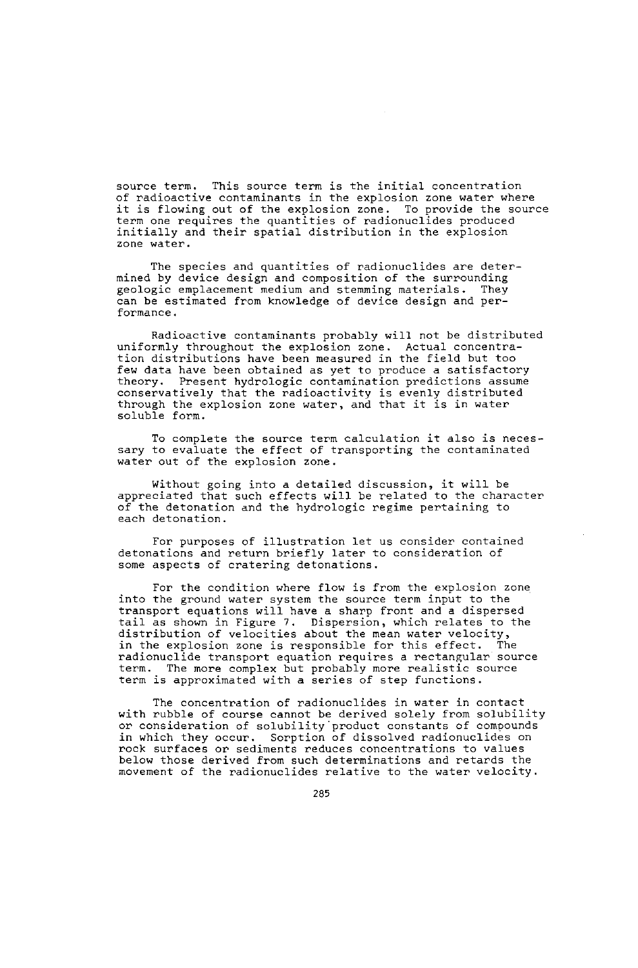source term. This source term is the initial concentration of radioactive contaminants in the explosion zone water where it is flowing out of the explosion zone. To provide the source term one requires the quantities of radionuclides produced initially and their spatial distribution in the explosion zone water.

The species and quantities of radionuclides are determined by device design and composition of the surrounding<br>geologic emplacement medium and stemming materials. They can be estimated from knowledge of device design and performance.

Radioactive contaminants probably will not be distributed uniformly throughout the explosion zone. Actual concentration distributions have been measured in the field but too few data have been obtained as yet to produce a satisfactory theory. Present hydrologic contamination predictions assume conservatively that the radioactivity is evenly distributed through the explosion zone water, and that it is in water soluble form.

To complete the source term calculation it also is necessary to evaluate the effect of transporting the contaminated water out of the explosion zone.

Without going into a detailed discussion, it will be<br>appreciated that such effects will be related to the characte of the detonation and the hydrologic regime pertaining to each detonation.

For purposes of illustration let us consider contained detonations and return briefly later to consideration of some aspects of cratering detonations.

For the condition where flow is from the explosion zone into the ground water system the source term input to the transport equations will have a sharp front and a dispersed tail as shown in Figure 7. Dispersion, which relates to the distribution of velocities about the mean water velocity,<br>in the explosion zone is responsible for this effect. The in the explosion zone is responsible for this effect. radionuclide transport equation requires a rectangular source term. The more complex but probably more realistic source term is approximated with a series of step functions.

The concentration of radionuclides in water in contact with rubble of course cannot be derived solely from solubility or consideration of solubility'product constants of compounds in which they occur. Sorption of dissolved radionuclides on rock surfaces or sediments reduces concentrations to values below those derived from such determinations and retards the movement of the radionuclides relative to the water velocity.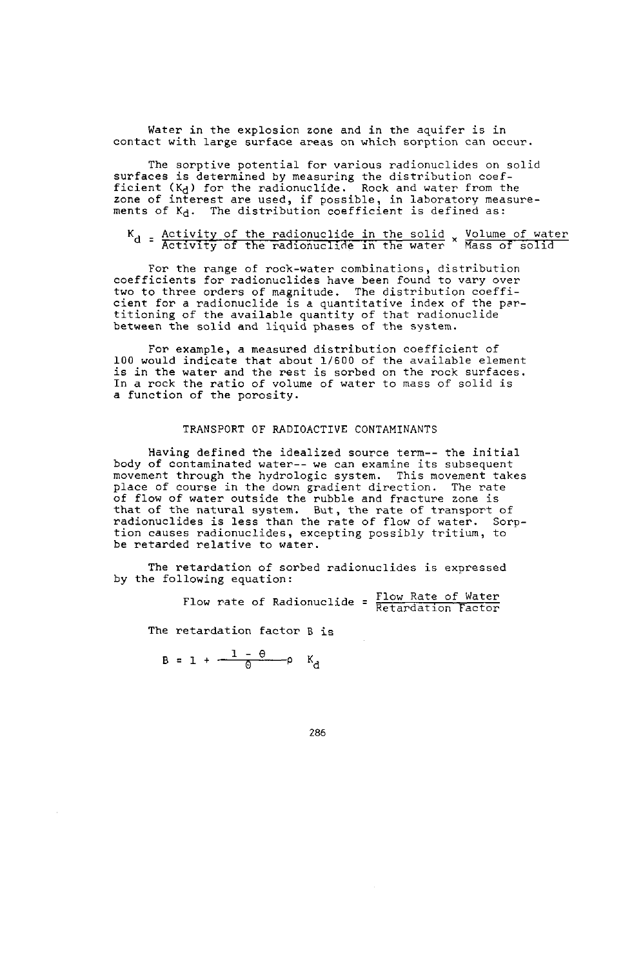Water in the explosion zone and in the aquifer is in contact with large surface areas on which sorption can occur.

The sorptive potential for various radionuclides on solid surfaces is determined by measuring the distribution coef-<br>ficient  $(K_d)$  for the radionuclide. Rock and water from the<br>zone of interest are used, if possible, in laboratory measure<br>ments of  $K_d$ . The distribution coeffici

$$
K_d
$$
 = Activity of the radionucilde in the solid x Volume of water  
Activity of the radionucilde in the water x Mass of solid

For the range of rock-water combinations, distribution coefficients for radionuclides have been found to vary over two to three orders of magnitude. The distribution coeffi-cient for a radionuclide is a quantitative index of the partitioning of the available quantity of that radionuclide between the solid and liquid phases of the system.

For example, a measured distribution coefficient of<br>100 would indicate that about 1/600 of the available element is in the water and the rest is sorbed on the rock surfaces. In a rock the ratio of volume of water to mass of solid is a function of the porosity.

### TRANSPORT OF RADIOACTIVE CONTAMINANTS

Having defined the idealized source term-- the initial body of contaminated water-- we can examine its subsequent movement through the hydrologic system. This movement takes place of course in the down gradient direction. The rate portion of water outside the rubble and fracture zone is<br>that of the natural system. But, the rate of transport of<br>radionuclides is less than the rate of flow of water. Sorption causes radionuclides, excepting possibly tritium, to be retarded relative to water.

The retardation of sorbed radionuclides is expressed by the following equation:

Flow rate of Radionuclide =  $\frac{Flow \ Rate \ of \ Water}{Retardation \ Factor}$ 

The retardation factor B is

 $B = 1 + \frac{1 - \theta}{\theta}$   $K_A$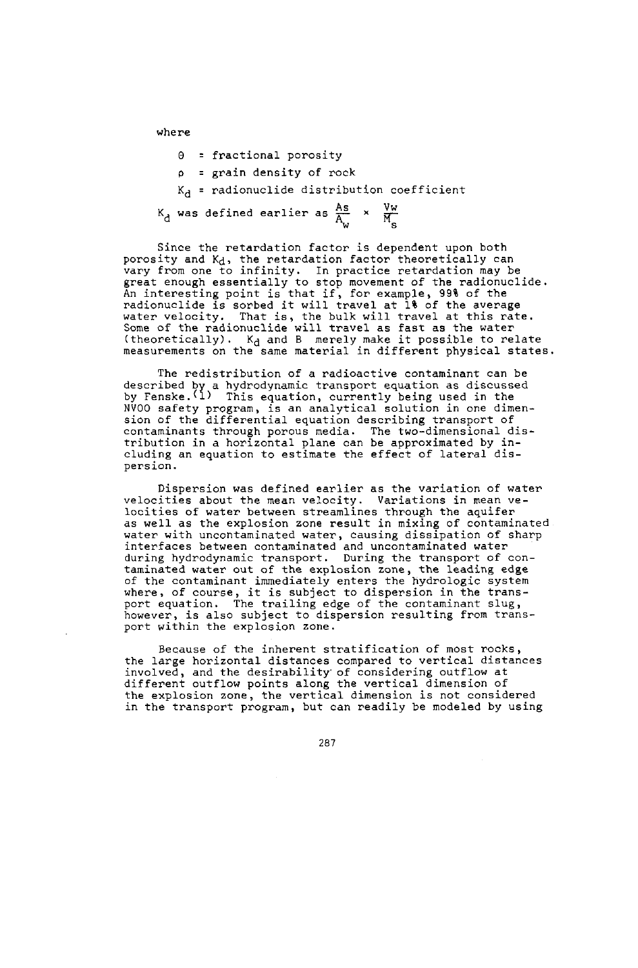where

```
0 = fractional porosity
```

```
p = grain density of rock
```
 $K_A$  = radionuclide distribution coefficient

 $K_d$  was defined earlier as  $\frac{As}{A_{xx}} \times \frac{V_w}{M_w}$ 

Since the retardation factor is dependent upon both porosity and Kd, the retardation factor theoretically can<br>vary from one to infinity. In practice retardation may be<br>great enough essentially to stop movement of the radionuclide<br>An interesting point is that if, for example radionuclide is sorbed it will travel at 1% of the average water velocity. That is, the bulk will travel at this rate.<br>Some of the radionuclide will travel as fast as the water<br>(theoretically).  $K_d$  and B merely make it possible to relate measurements on the same material in different physical states.

The redistribution of a radioactive contaminant can be described by a hydrodynamic transport equation as discussed<br>by Fenske.<sup>(1)</sup> This equation, currently being used in the NVOO safety program, is an analytical solution in one dimension of the differential equation describing transport of contaminants through porous media. The two-dimensional distribution in a horizontal plane can be approximated by including an equation to estimate the effect of lateral dispersion.

Dispersion was defined earlier as the variation of water velocities about the mean velocity. Variations in mean ve- locities of water between streamlines through the aquifer as well as the explosion zone result in mixing of contaminated water with uncontaminated water, causing dissipation of sharp interfaces between contaminated and uncontaminated water during hydrodynamic transport. During the transport of contaminated water out of the explosion zone, the leading edge<br>of the contaminant immediately enters the hydrologic system<br>where, of course, it is subject to dispersion in the trans-<br>port equation. The trailing edge of the co port equation. The trailing edge of the contaminant slug,<br>however, is also subject to dispersion resulting from transport within the explosion zone.

Because of the inherent stratification of most rocks, the large horizontal distances compared to vertical distances involved, and the desirability'of considering outflow at different outflow points along the vertical dimension of the explosion zone, the vertical dimension is not considered in the transport program, but can readily be modeled by using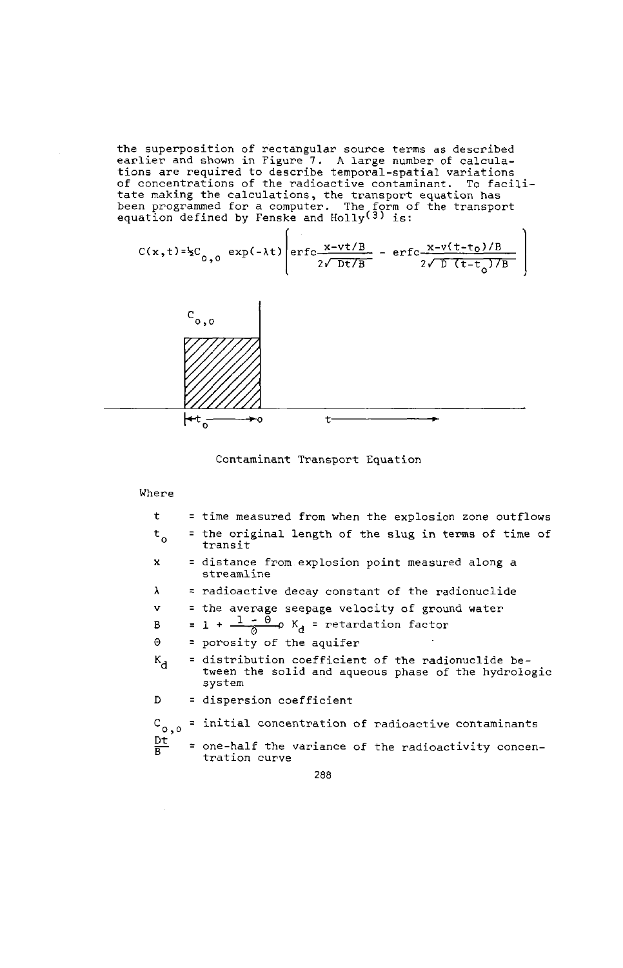the superposition of rectangular source terms as described<br>earlier and shown in Figure 7. A large number of calcula-<br>tions are required to describe temporal-spatial variations<br>of concentrations of the radioactive contamina

$$
C(x,t)=\frac{1}{2}C_{0,0} \exp(-\lambda t) \left( \text{erfc} \frac{x-vt/B}{2\sqrt{Dt/B}} - \text{erfc} \frac{x-v(t-t_0)/B}{2\sqrt{D(t-t_0)/B}} \right)
$$



Contaminant Transport Equation

### Where

| t                  | = time measured from when the explosion zone outflows                                                               |
|--------------------|---------------------------------------------------------------------------------------------------------------------|
| $t_{o}$            | = the original length of the slug in terms of time of<br>transit                                                    |
| $\mathbf{x}$       | = distance from explosion point measured along a<br>streamline                                                      |
| $\lambda$          | = radioactive decay constant of the radionuclide                                                                    |
| v                  | = the average seepage velocity of ground water                                                                      |
| B                  | = 1 + $\frac{1 - \Theta}{\Delta}$ $\phi$ K <sub>d</sub> = retardation factor                                        |
| Θ                  | = porosity of the aquifer                                                                                           |
| $k_{\rm d}$        | = distribution coefficient of the radionuclide be-<br>tween the solid and aqueous phase of the hydrologic<br>system |
| D                  | = dispersion coefficient                                                                                            |
| $c_{\circ, \circ}$ | = initial concentration of radioactive contaminants                                                                 |
| 黑                  | = one-half the variance of the radioactivity concen-<br>tration curve                                               |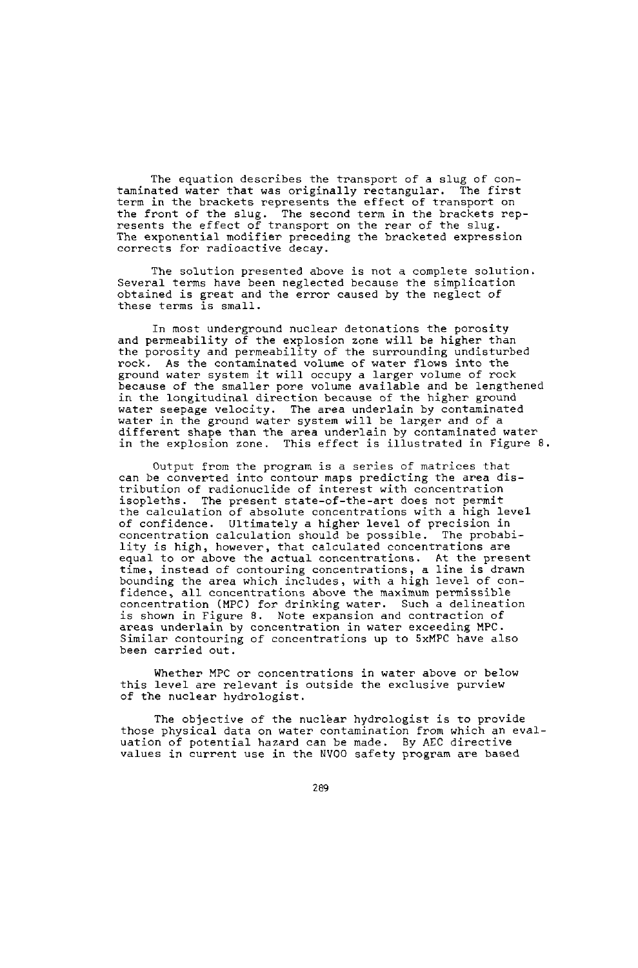The equation describes the transport of a slug of contaminated water that was originally rectangular. The first term in the brackets represents the effect of transport on the front of the slug. The second term in the brackets rep-resents the effect of transport on the rear of the slug. The exponential modifier preceding the bracketed expression corrects for radioactive decay.

The solution presented above is not a complete solut<br>Several terms have been neglected because the simplicatio obtained is great and the error caused by the neglect of these terms is small.

In most underground nuclear detonations the porosity and permeability of the explosion zone will be higher than the porosity and permeability of the surrounding undisturbed rock. As the contaminated volume of water flows into the ground water system it will occupy a larger volume of rock because of the smaller pore volume available and be lengthened in the longitudinal direction because of the higher ground water seepage velocity. The area underlain by contaminated water in the ground water system will be larger and of a different shape than the area underlain by contaminated water in the explosion zone. This effect is illustrated in Figure 8.

Output from the program is a series of matrices that can be converted into contour maps predicting the area distribution of radionuclide of interest with concentration isopleths. The present state-of-the-art does not permit the calculation of absolute concentrations with a high level of confidence. Ultimately a higher level of precision in concentration calculation should be possible. The probability is high, however, that calculated concentrations are equal to or above the actual concentrations. At the present time, instead of contouring concentrations, a line is drawn bounding the area which includes, with a high level of con-fidence, all concentrations above the aximum permissible concentration (MPC) for drinking water. Such a delineation is shown in Figure 8. Note expansion and contraction of areas underlain by concentration in water exceeding MPC. Similar contouring of concentrations up to 5xMPC have also been carried out.

Whether MPC or concentrations in water above or below this level are relevant is outside the exclusive purview of the nuclear hydrologist.

The objective of the nuclear hydrologist is to provide those physical data on water contamination from which an evaluation of potential hazard can be made. By AEC directive values in current use in the NVOO safety program are based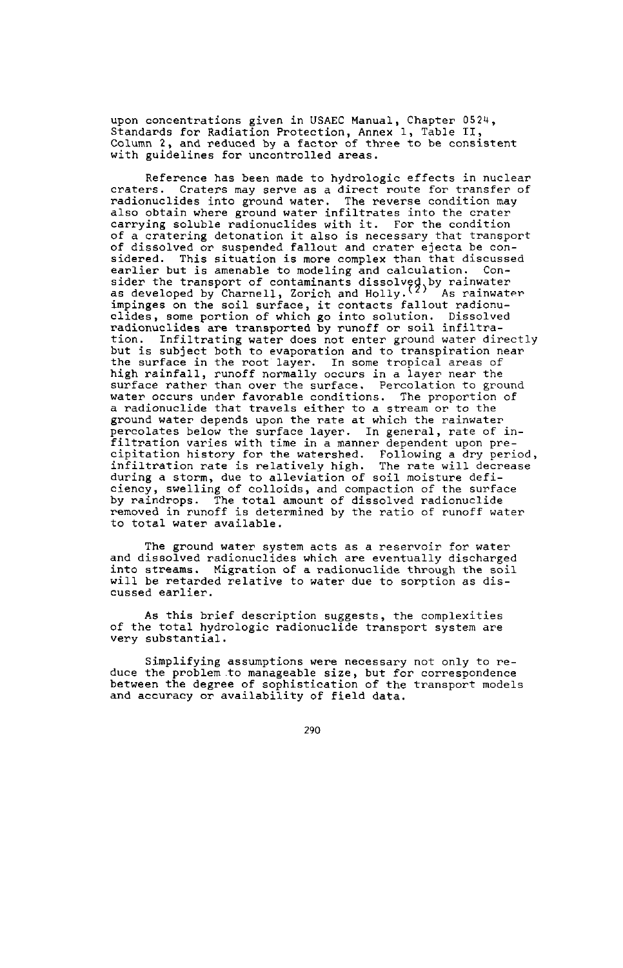upon concentrations given in USAEC Manual, Chapter 0524, Standards for Radiation Protection, Annex 1, Table II, Column 2, and reduced by a factor of three to be consistent with guidelines for uncontrolled areas.

Reference has been made to hydrologic effects in nuclear craters. Craters may serve as a direct route for transfer of radionuclides into ground water. The reverse condition may also obtain where ground water infiltrates into the crater carrying soluble radionuclides with it. For the condition of a cratering detonation it also is necessary that transport of dissolved or suspended fallout and crater ejecta be considered. This situation is more complex than that discussed earlier but is amenable to modeling and calculation. Consider the transport of contaminants dissolved by rainwater<br>as developed by Charnell, Zorich and Holly.<sup>(2)</sup> As rainwater<br>impinges on the soil surface, it contacts fallout radionu-<br>clides, some portion of which go into sol tion. Infiltrating water does not enter ground water directly but is subject both to evaporation and to transpiration near the surface in the root layer. In some tropical areas of high rainfall, runoff normally occurs in a layer near the surface rather than over the surface. Percolation to ground water occurs under favorable conditions. The proportion of a radionuclide that travels either to a stream or to the ground water depends upon the rate at which the rainwater percolates below the surface layer. In general, rate of infiltration varies with time in a manner dependent upon preexpitation history for the watershed. Following a dry period<br>infiltration rate is relatively high. The rate will decrease<br>during a storm, due to alleviation of soil moisture deficiency, swelling of colloids, and compaction of the surface by raindrops. The total amount of dissolved radionuclide removed in runoff is determined by the ratio of runoff water to total water available.

The ground water system acts as a reservoir for water and dissolved radionuclides which are eventually discharged into streams. Migration of a radionuclide through the soil will be retarded relative to water due to sorption as discussed earlier.

As this brief description suggests, the complexities of the total hydrologic radionuclide transport system are very substantial.

Simplifying assumptions were necessary not only to reduce the problem to manageable size, but for correspondence between the degree of sophistication of the transport models and accuracy or availability of field data.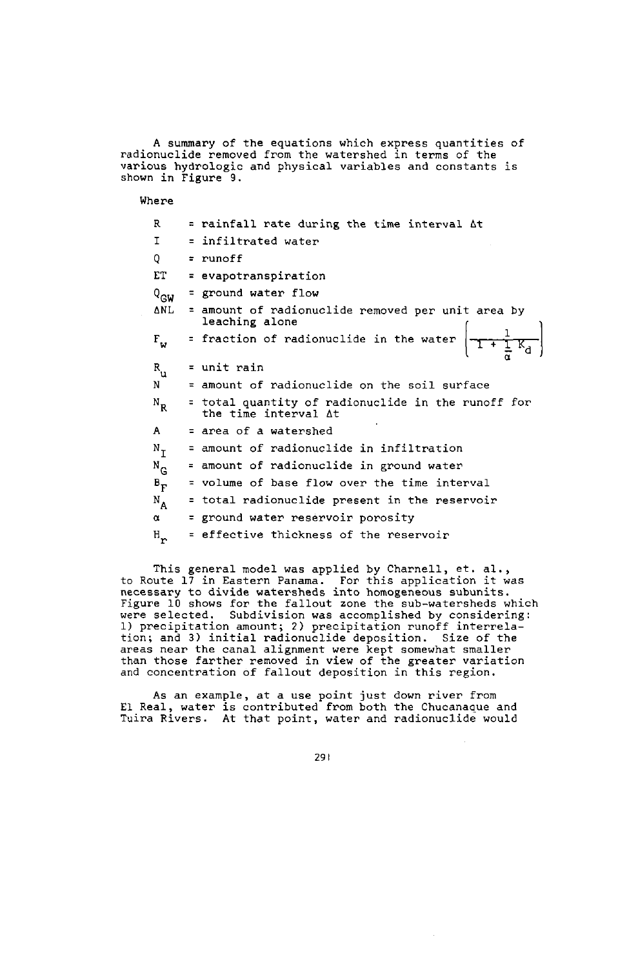A summary of the equations which express quantities of the equations which express quantities of various hydrologic and physical variables and constants is shown in Figure 9.

Where

| R                                    | = rainfall rate during the time interval At                                                              |
|--------------------------------------|----------------------------------------------------------------------------------------------------------|
| I                                    | = infiltrated water                                                                                      |
| Q                                    | $=$ runoff                                                                                               |
| EТ                                   | = evapotranspiration                                                                                     |
| $Q_{GW}$                             | = ground water flow                                                                                      |
| ΔNL                                  | = amount of radionuclide removed per unit area by<br>leaching alone                                      |
| $\mathbf{F}_{\mathbf{u}}$            | ieaching aione<br>= fraction of radionuclide in the water $\left  \frac{1}{1 + \frac{1}{n} K_d} \right $ |
| $R_{u}$                              | = unit rain                                                                                              |
| N                                    | = amount of radionuclide on the soil surface                                                             |
| $N_{R}$                              | = total quantity of radionuclide in the runoff for<br>the time interval At                               |
| A                                    | = area of a watershed                                                                                    |
| $N_{T}$                              | = amount of radionuclide in infiltration                                                                 |
| $N_G$                                | = amount of radionuclide in ground water                                                                 |
| $B_{\rm F}$                          | = volume of base flow over the time interval                                                             |
| $N_A$                                | = total radionuclide present in the reservoir                                                            |
| α                                    | = ground water reservoir porosity                                                                        |
| ${\tt H} _{\scriptscriptstyle\sf F}$ | = effective thickness of the reservoir                                                                   |

This general model was applied by Charnell, et. al.,<br>to Route 17 in Eastern Panama. For this application it was<br>necessary to divide watersheds into homogeneous subunits.<br>Figure 10 shows for the fallout zone the sub-watersh were selected. Subdivision was accomplished by considering: \*\*\*\* precipitation amount; 2) precipitation runoff interrela-<br>tion; and 3) initial radionuclide deposition. Size of the areas near the canal alignment were kept somewhat smaller<br>than those farther removed in view of the greater variat and concentration of fallout deposition in this region.

As an example, at a use point just down river from El Real, water is contributed from both the Chucanaaue and Tuira Rivers. At that point, water and radionuclide would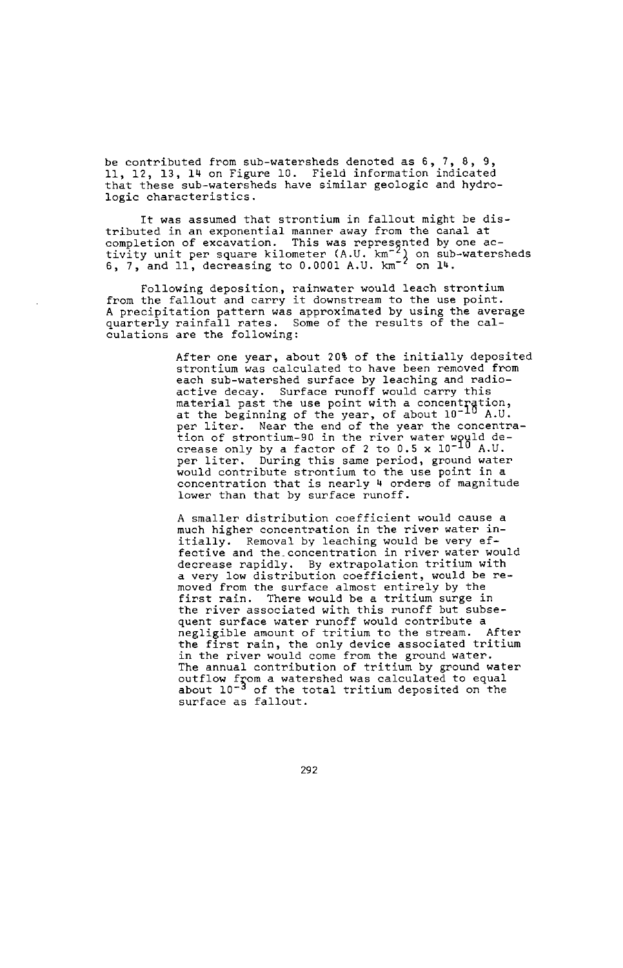be contributed from sub-watersheds denoted as 6 7 9, 11, 12, 13, 14 on Figure 10. Field information indicated that these sub-watersheds have similar geologic and hydrologic characteristics.

It was assumed that strontium in fallout might be distributed in an exponential manner away from the canal at completion of excavation. This was represented by one activity unit per square kilometer (A.U. km<sup>-2</sup>) on sub-watersheds 6, 7, and 11, decreasing to 0.0001 A.U. km<sup>-2</sup> on 14.

Following deposition, rainwater would leach strontium from the fallout and carry it downstream to the use point. A precipitation pattern was approximated by using the average quarterly rainfall rates. Some of the results of the calculations are the following:

> After one year, about 20% of the initially deposited strontium was calculated to have been removed from each sub-watershed surface by leaching and radio-active decay. Surface runoff would carry this material past the use point with a concentration<br>at the beginning of the year, of about  $10^{-10}$  A.U per liter. Near the end of the year the concentration of strontium-90 in the river water would de-<br>crease only by a factor of 2 to 0.5 x 10<sup>-10</sup> A.U. per liter. During this same period, ground water point interaction that is more interesting the use point in a<br>concentration that is nearly 4 orders of magnitude lower than that by surface runoff.

A smaller distribution coefficient would cause a much higher concentration in the river water initially. Removal by leaching would be very effective and the-concentration in river water would decrease rapidly. By extrapolation tritium with a very low distribution coefficient, would be removed from the surface almost entirely by the first rain. There would be a tritium surge in the **river** associated with this runoff but subsequent surface water runoff would contribute a<br>negligible amount of tritium to the stream. After negligible amount of tritium to the stream. the first rain, the only device associated tritium in the river would come from the ground water. The annual contribution of tritium by ground water outflow from a watershed was calculated to equal<br>about 10<sup>-3</sup> of the total tritium deposited on the surface as fallout.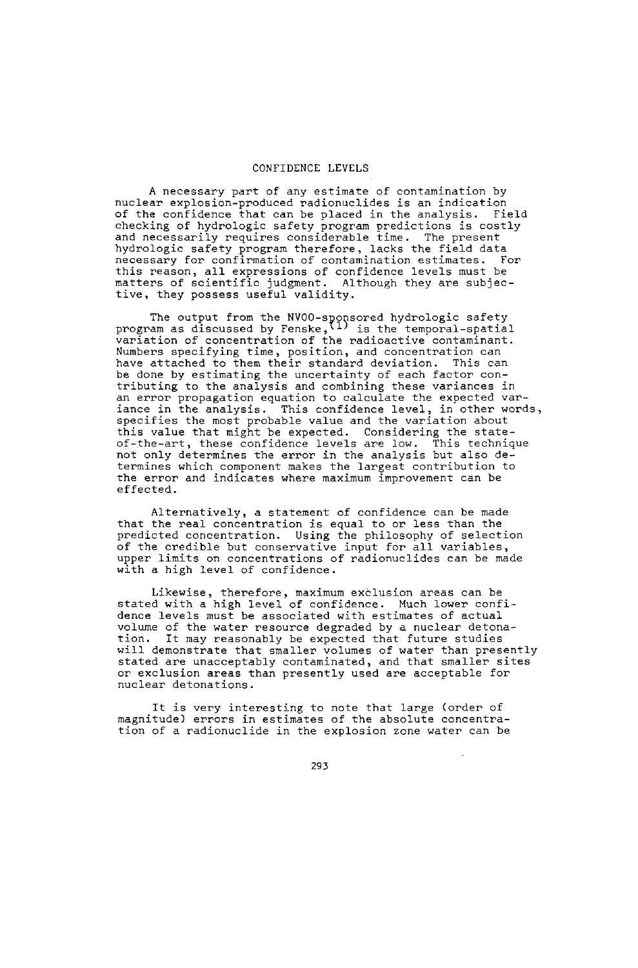### CONFIDENCE LEVELS

A necessary part of any estimate of contamination by nuclear explosion-produced radionuclides is an indication of the confidence that can be placed in the analysis. Field checking of hydrologic safety program predictions is cos<br>and necessarily requires considerable time. The present hydrologic safety program therefore, lacks the field data necessary for confirmation of contamination estimates. For this reason, all expressions of confidence levels must be<br>matters of scientific judgment. Although they are subjecmatters of scientific judgment. tive, they possess useful validity.

The output from the NVOO-sponsored hydrologic safety<br>program as discussed by Fenske, <sup>(1)</sup> is the temporal-spatia<br>variation of concentration of the radioactive contaminant Numbers specifying time, position, and concentration can have attached to them their standard deviation. This can he done by estimating the uncertainty of each factor con-<br>tributing to the analysis and combining these variances i an error propagation equation to calculate the expected variance in the analysis. This confidence level, in other words, specifies the most probable value and the variation about this value that might be expected. Considering the state-of-the-art, these confidence levels are low. This technique not only determines the error in the analysis but also determines which component makes the largest contribution to the error and indicates where maximum improvement can be effected.

Alternatively, a statement of confidence can be made that the real concentration is equal to or less than the predicted concentration. Using the philosophy of selection of the credible but conservative input for all variable upper limits on concentrations of radionuclides can be made with a high level of confidence.

Likewise, therefore, maximum exclusion areas can be stated with a high level of confidence. Much lower confidence levels must be associated with estimates of actual volume of the water resource degraded by a nuclear detonation. It may reasonably be expected that future studies will demonstrate that smaller volumes of water than presently stated are unacceptably contaminated, and that smaller sites or exclusion areas than presently used are acceptable for nuclear detonations.

It is very interesting to note that large (order of magnitude) errors in estimates of the absolute concentration of a radionuclide in the explosion zone water can be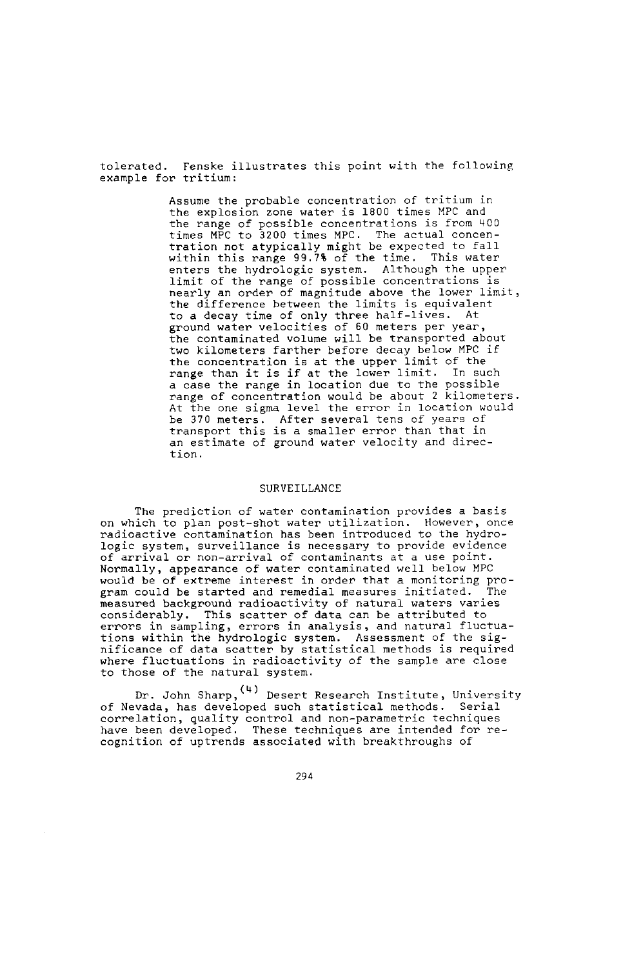tolerated. Penske illustrates this point with the following example for tritium:

> Assume the probable concentration of tritium in the explosion zone water is 1800 times MPC and the range of possible concentrations is from 400 times MPC to 3200 times MPC. The actual concentration not atypically might be expected to fall within this range 99.7% of the time. This water enters the hydrologic system. Although the upper limit of the range of possible concentrations is nearly an order of magnitude above the lower limit, the difference between the limits is equivalent to a decay time of only three half-lives. At ground water velocities of 60 meters per year, the contaminated volume will be transported about two kilometers farther before decay below MPC if the concentration is at the upper limit of the range than it is if at the lower limit. In such a case the range in location due to the possible range of concentration would be about 2 kilometers. At the one sigma level the error in location would be 370 meters. After several tens of years of transport this is a smaller error than that in an estimate of ground water velocity and direction.

# SURVEILLANCE

The prediction of water contamination provides a basis on which to plan post-shot water utilization. However, once radioactive contamination has been introduced to the hydrologic system, surveillance is necessary to provide evidence of arrival or non-arrival of contaminants at a use point. Normally, appearance of water contaminated well below MPC would be of extreme interest in order, that a monitoring program could be started and remedial measures initiated. The measured background radioactivity of natural waters varies considerably. This scatter of data can be attributed to errors in sampling, errors in analysis, and natural fluctua-tions within the hydrologic system. Assessment of the sig-nificance of data scatter by statistical methods is required where fluctuations in radioactivity of the sample are close to those of the natural system.

Dr. John Sharp, (4) Desert Research Institute, University of Nevada, has developed such statistical methods. Serial correlation, quality control and non-parametric techniques have been developed. These techniques are intended for recognition of uptrends associated with breakthroughs of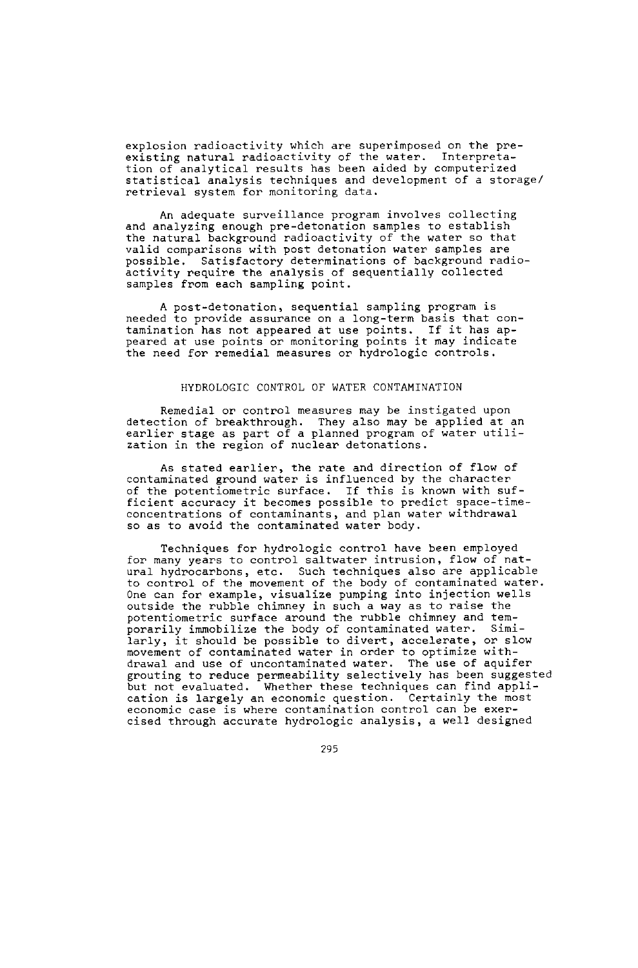explosion radioactivity which are superimposed on the preexisting natural radioactivity of the water. Interpretation of analytical results has been aided by computerized statistical analysis techniques and development of a storage/ retrieval system for monitoring data.

An adequate surveillance program involves collecting and analyzing enough pre-detonation samples to establish the natural background radioactivity of the water so that valid comparisons with post detonation water samples are possible. Satisfactory determinations of background radiopositivity require the analysis of sequentially colle<br>samples from each sampling point.

A post-detonation, sequential sampling program is needed to provide assurance on a long-term basis that contamination has not appeared at use points. If it has ap-peared at use points or monitoring points it may indicate the need for remedial measures or hydrologic controls.

#### HYDROLOGIC CONTROL OF WATER CONTAMINATION

Remedial or control measures may be instigated upon detection of breakthrough. They also may be applied at an earlier stage as part of a planned program of water utiliant care in the region of nuclear detonations.

As stated earlier, the rate and direction of flow of contaminated ground water is influenced by the character of the potentiometric surface. If this is known with sufficient accuracy it becomes possible to predict space-timeconcentrations of contaminants, and plan water withdrawal so as to avoid the contaminated water body.

Techniques for hydrologic control have been employed for many years to control saltwater intrusion, flow of natural hydrocarbons, etc. Such techniques also are applicable to control of the movement of the body of contaminated water. One can for example, visualize pumping into injection wells outside the rubble chimney in such a way as to raise the potentiometric surface around the rubble chimney and temporarily immobilize the body of contaminated water. Similarly, it should be possible to divert, accelerate, or slow movement of contaminated water in order to optimize with-drawal and use of uncontaminated water. The use of aquifer grouting to reduce permeability selectively has been suggested but not evaluated. Whether these techniques can find application is largely an economic question. Certainly the most economic case is where contamination control can be exercised through accurate hydrologic analysis, a well designed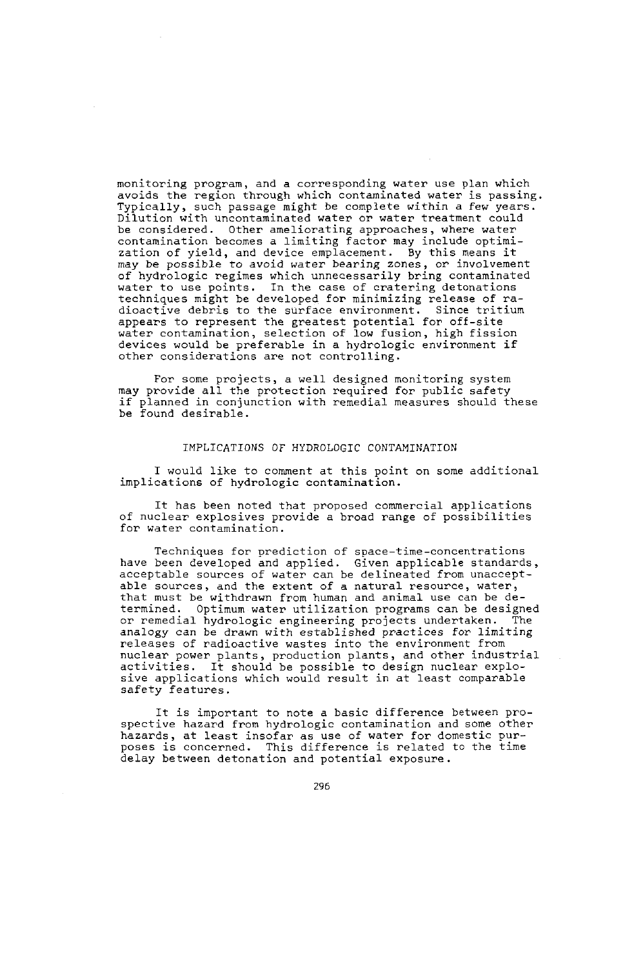monitoring program, and a corresponding water use plan which avoids the region through which contaminated water is passing. Typically, such passage might be complete within a few years. Dilution with uncontaminated water or water treatment could be considered. Other ameliorating approaches, where water contamination becomes a limiting factor may include optimization of yield, and device emplacement. By this means it may be possible to avoid water bearing zones, or involvement of hydrologic regimes which unnecessarily bring contaminated water to use points. In the case of cratering detonations techniques might be developed for minimizing release of ra-<br>dioactive debris to the surface environment. Since tritium dioactive debris to the surface environment. Since tritappears to represent the greatest potential for off-site<br>appears to represent the greatest potential for off-site<br>water contamination, selection of low fusion, high fi devices would be preferable in a hydrologic environment if other considerations are not controlling.

For some projects, a well designed monitoring system may provide all the protection required for public safety if planned in conjunction with remedial measures should these be found desirable.

# IMPLICATIONS OF HYDROLOGIC CONTAMINATION

I would like to comment at this point on some additional implications of hydrologic contamination.

It has been noted that proposed commercial applications of nuclear explosives provide a broad range of possibilities for water contamination.

Techniques for prediction of space-time-concentrations have been developed and applied. Given applicable standards, acceptable sources of water can be delineated from unacceptable sources, and the extent of a natural resource, water, that must be withdrawn from human and animal use can be determined. Optimum water utilization programs can be designed or remedial hydrologic engineering projects undertaken. analogy can be drawn with established practices for limiting releases of radioactive wastes into the environment from nuclear power plants, production plants, and other industrial activities. It should be possible to design nuclear explosive applications which would result in at least comparable safety features.

It is important to note a basic difference between prospective hazard from hydrologic contamination and some other hazards, at least insofar as use of water for domestic pur-poses is concerned. This difference is related to the time delay between detonation and potential exposure.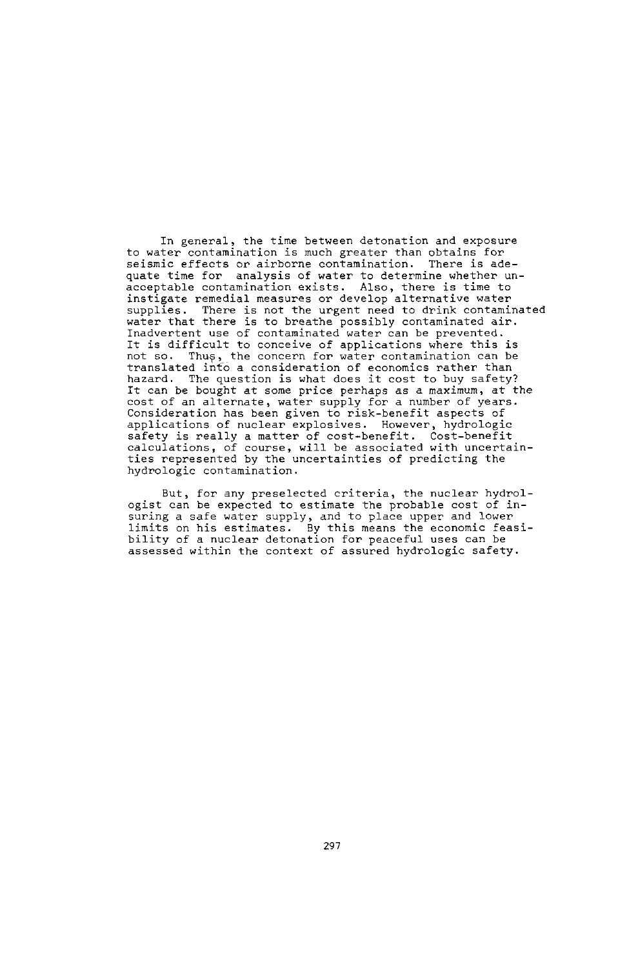In general, the time between detonation and exposure to water contamination is much greater than obtains for seismic effects or airborne contamination. There is adequate time for analysis of water to determine whether unacceptable contamination exists. Also, there is time to instigate remedial measures or develop alternative water supplies. There is not the urgent need to drink contaminated water that there is to breathe possibly contaminated air. Inadvertent use of contaminated water can be prevented. It is difficult to conceive of applications where this is not so. Thus, the concern for water contamination can be translated info a consideration of economics rather than<br>hazard. The question is what does it cost to buy safety It can be bought at some price perhaps as a maximum, at the cost of an alternate, water supply for a number of years. Consideration has been given to risk-benefit aspects of applications of nuclear explosives. However, hydrologic safety is really a matter of cost-benefit. Cost-benefit calculations, of course, will be associated with uncertainties represented by the uncertainties of predicting the hydrologic contamination.

But, for any preselected criteria, the nuclear hydrologist can be expected to estimate the probable cost of insuring a safe water supply, and to place upper and lower limits on his estimates. By this means the economic feasibility of a nuclear detonation for peaceful uses can be assessed within the context of assured hydrologic safety.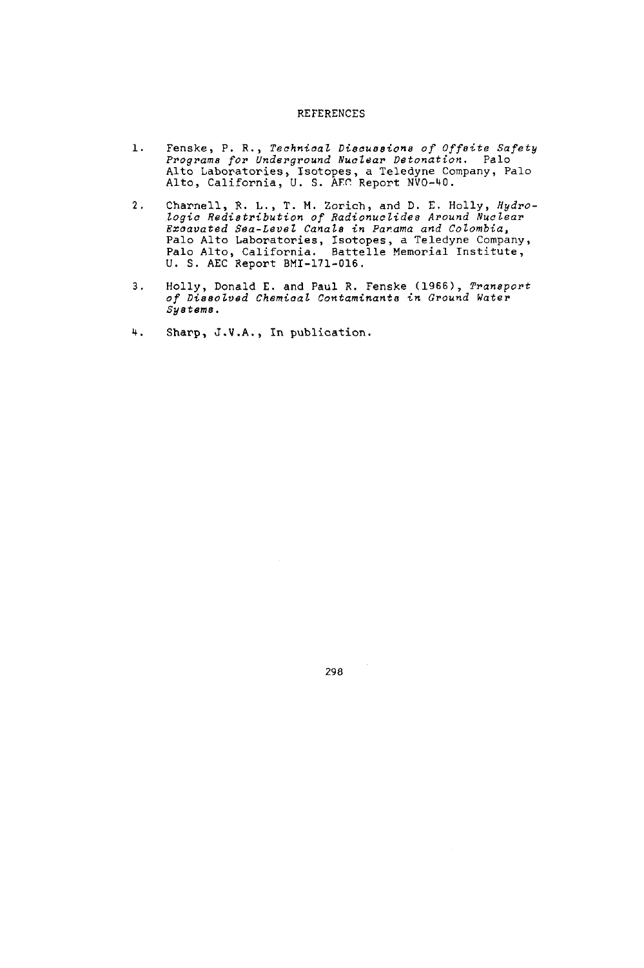# REFERENCES

- 1. Fenske, P. R., *Technical Discussions of Offeite Safety Programs for Underground Nuclear Detonation.* Palo Alto Laboratories, Isotopes, a Teledyne Company, Palo Alto, California, U. S. AFr Report NVO-40.
- 2. Charnell, E. L., T. M. Zorich, and D. E. Holly, *Hydro-logic Redistribution of adionuclides Around Nuclear Excavated Sea-Level Canals in Panama and Colombia,* Palo Alto Laboratories, Isotopes, a Teledyne Company, Palo Alto, California. Battelle Memorial Institute, U. S. AEC Report BMI-171-016.
- 3. Holly, Donald E. and Paul R. Fenske 1966), *Transport of Dissolved Chemical* Contaminants in Ground Water *Systems.*
- 4. Sharp, J.V.A., In publication.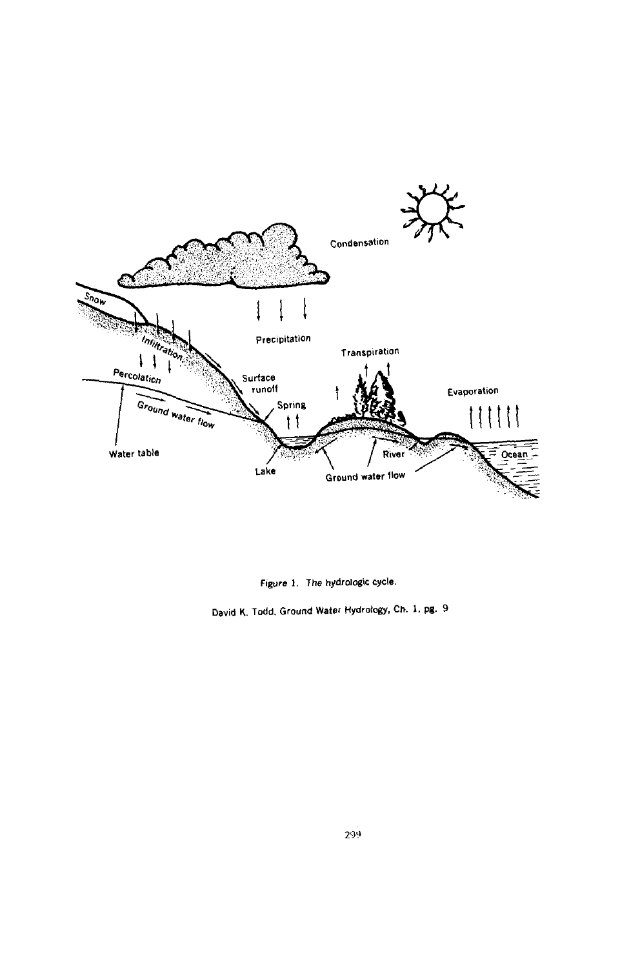

*Figure .* The hydrologic **ycle.**

David K. Todd, Ground Water Hydrology, Ch. 1, pg. 9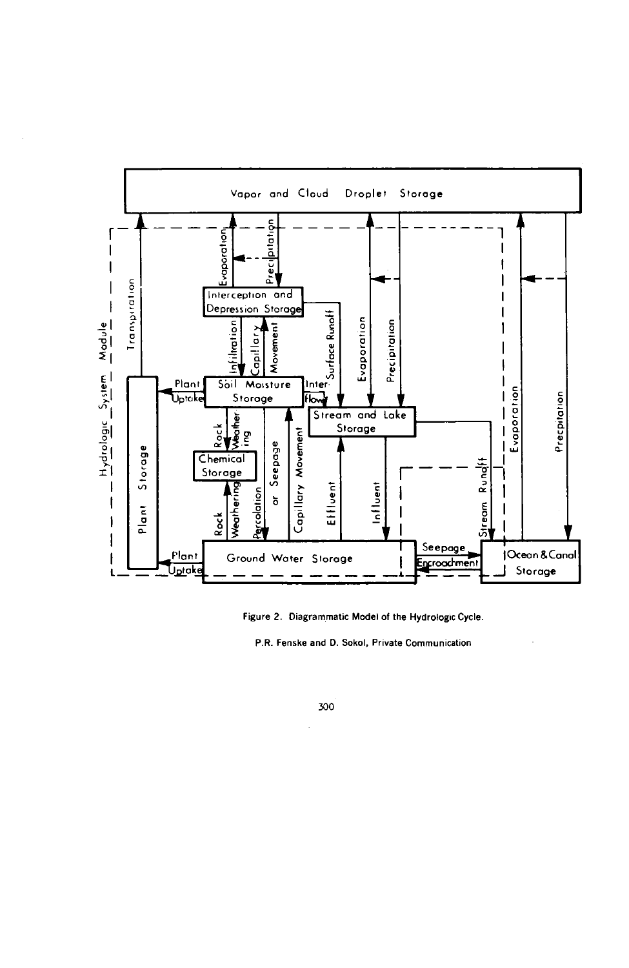

Figure 2. Diagrammatic Model of the Hydrologic Cycle.

P.R. Fenske and D. Sokol, Private Communication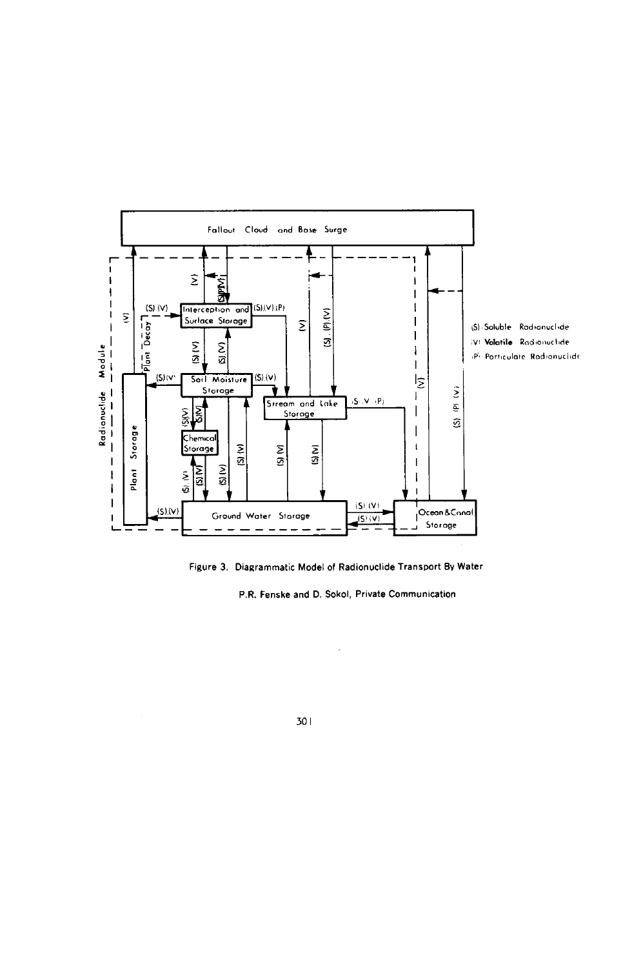

Figure 3. Diagrammatic Model of Radionuclide Transport By Water

P.R. Fenske and D. Sokol, Private Communication

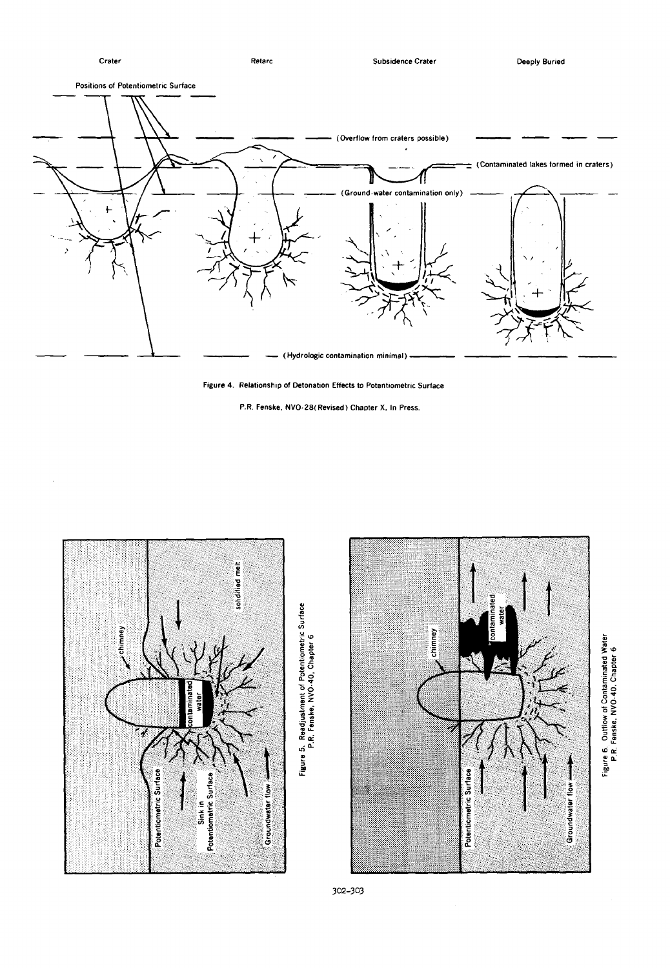Crater Reta rc Subsidence Crater Deeply Buried Positions of Potentiometric Surface (Overflow from craters possible) (Contaminated lakes formed in craters) (Ground-water contamination only) (Hydrologic contamination minimal)

Figure 4. Relationship of Detonation Effects to Potentiometric Surface

P.R. Fenske, NVO.28(Revised) Chapter X, In Press.



 $\sim$ 



or<br>se 0 W

302-303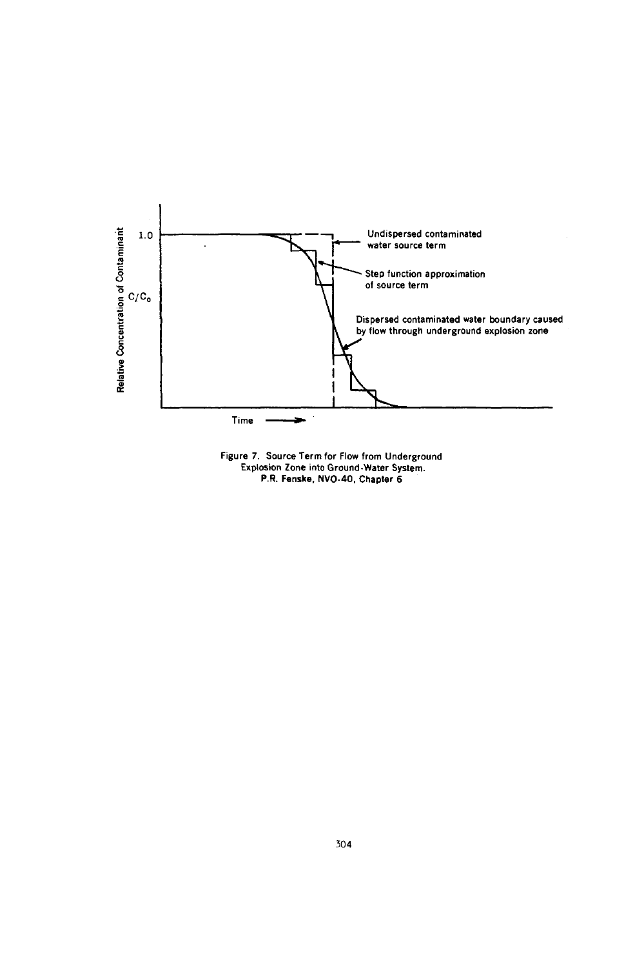

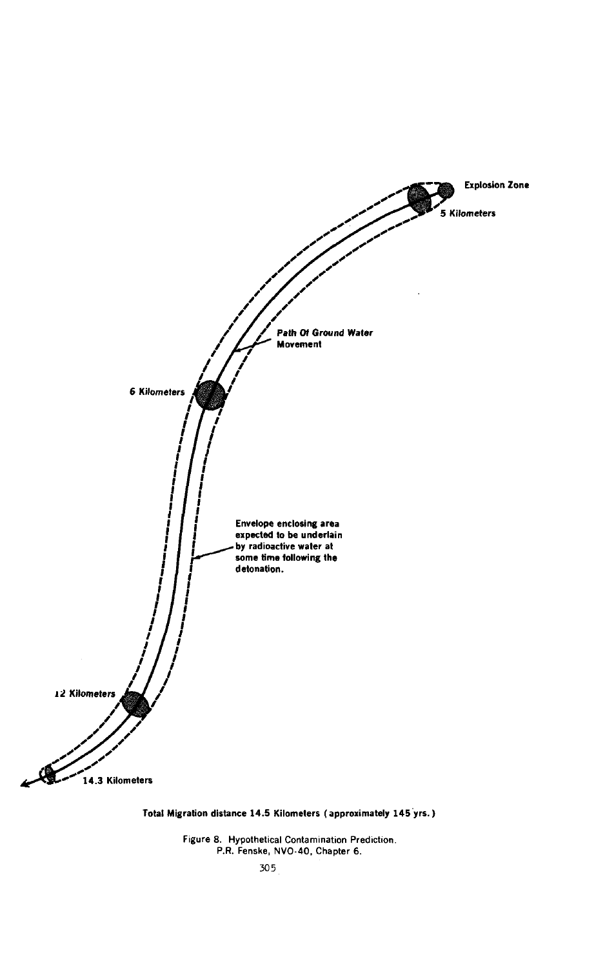

Total Migration distance 14.5 Kilometers (approximately 145 yrs.

Figure 8. Hypothetical Contamination Prediction. P.R. Fenske, NVO-40, Chapter 6.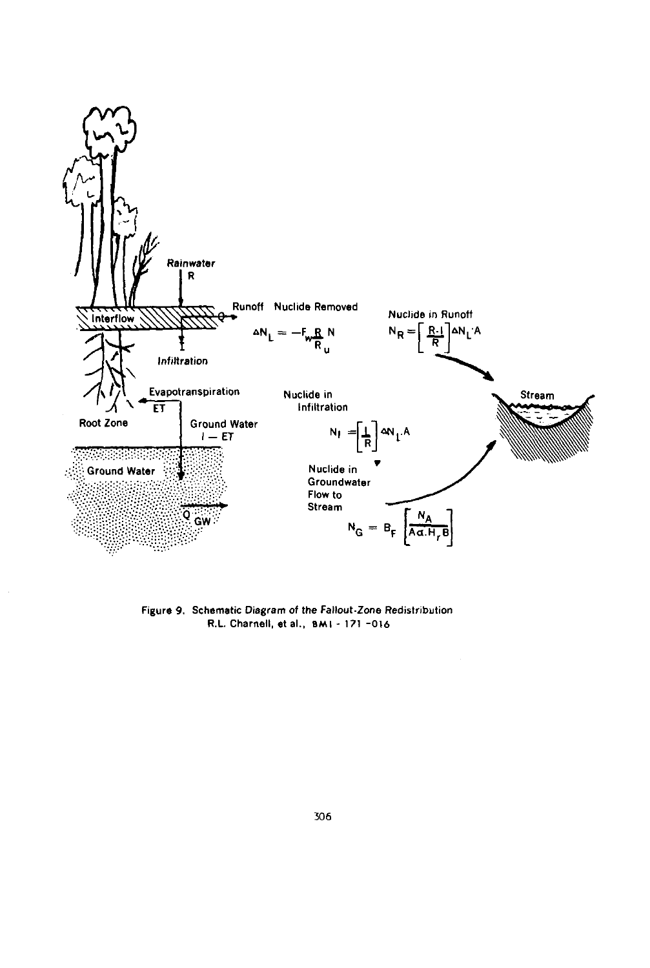

Figure 9. Schematic Diagram of the Fallout-Zone Redistribution R.L. Charnell, et al., BMI - 171 -016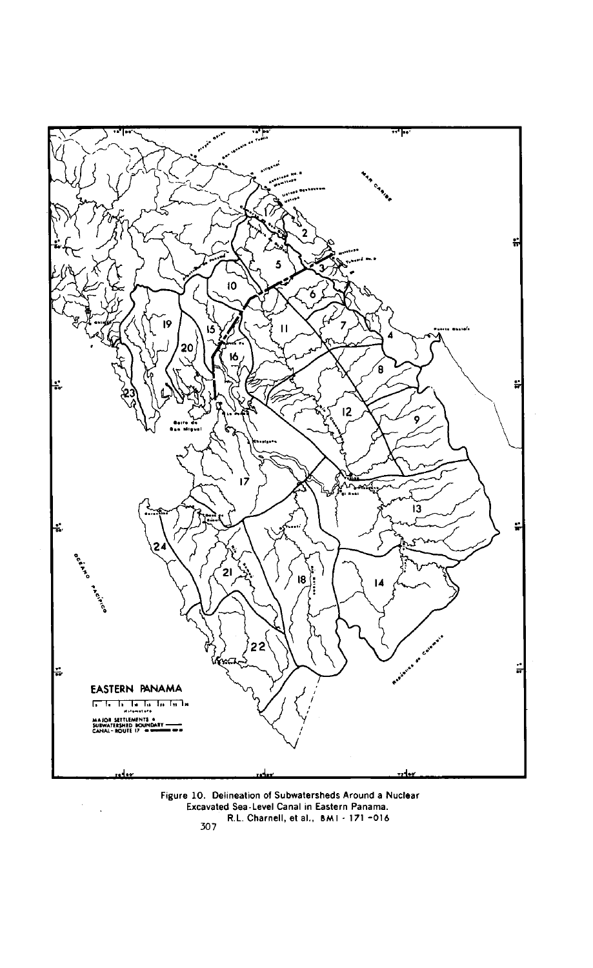

Figure 10. Delineation of Subwatersheds Around a Nuclear Excavated Sea-Level Canal in Eastern Panama. R.L. Charnell, et al., BM I *- 171 016* 307